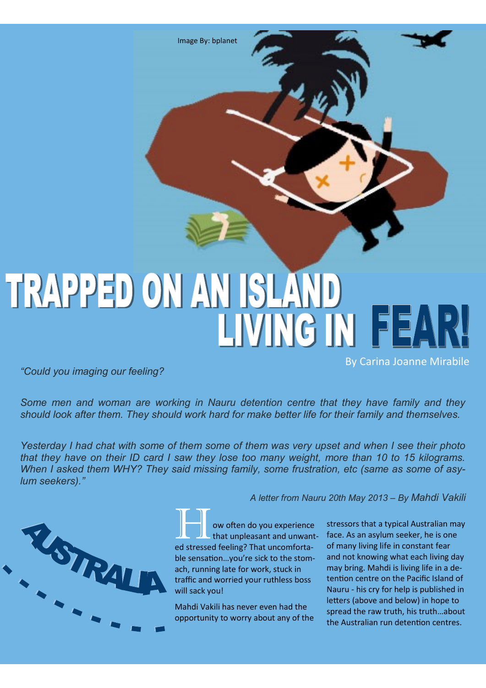Image By: bplanet

## TRAPPED ON AN ISLAND LIVING IN FEAR

*"Could you imaging our feeling?*

*Some men and woman are working in Nauru detention centre that they have family and they should look after them. They should work hard for make better life for their family and themselves.*

*Yesterday I had chat with some of them some of them was very upset and when I see their photo that they have on their ID card I saw they lose too many weight, more than 10 to 15 kilograms. When I asked them WHY? They said missing family, some frustration, etc (same as some of asylum seekers)."* 



**How often do you experience**<br>that unpleasant and unwanted stressed feeling? That uncomfortable sensation…you're sick to the stomach, running late for work, stuck in traffic and worried your ruthless boss will sack you!

Mahdi Vakili has never even had the opportunity to worry about any of the

*A letter from Nauru 20th May 2013 – By Mahdi Vakili*

stressors that a typical Australian may face. As an asylum seeker, he is one of many living life in constant fear and not knowing what each living day may bring. Mahdi is living life in a detention centre on the Pacific Island of Nauru - his cry for help is published in letters (above and below) in hope to spread the raw truth, his truth…about the Australian run detention centres.

By Carina Joanne Mirabile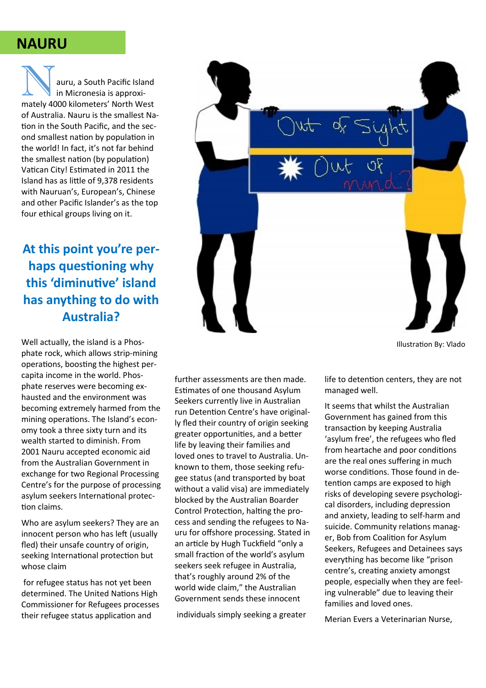## **NAURU**

auru, a South Pacific Island in Micronesia is approximately 4000 kilometers' North West of Australia. Nauru is the smallest Nation in the South Pacific, and the second smallest nation by population in the world! In fact, it's not far behind the smallest nation (by population) Vatican City! Estimated in 2011 the Island has as little of 9,378 residents with Nauruan's, European's, Chinese and other Pacific Islander's as the top four ethical groups living on it.

## **At this point you're perhaps questioning why this 'diminutive' island has anything to do with Australia?**

Well actually, the island is a Phosphate rock, which allows strip-mining operations, boosting the highest percapita income in the world. Phosphate reserves were becoming exhausted and the environment was becoming extremely harmed from the mining operations. The Island's economy took a three sixty turn and its wealth started to diminish. From 2001 Nauru accepted economic aid from the Australian Government in exchange for two Regional Processing Centre's for the purpose of processing asylum seekers International protection claims.

Who are asylum seekers? They are an innocent person who has left (usually fled) their unsafe country of origin, seeking International protection but whose claim

for refugee status has not yet been determined. The United Nations High Commissioner for Refugees processes their refugee status application and



individuals simply seeking a greater

life to detention centers, they are not managed well.

It seems that whilst the Australian Government has gained from this transaction by keeping Australia 'asylum free', the refugees who fled from heartache and poor conditions are the real ones suffering in much worse conditions. Those found in detention camps are exposed to high risks of developing severe psychological disorders, including depression and anxiety, leading to self-harm and suicide. Community relations manager, Bob from Coalition for Asylum Seekers, Refugees and Detainees says everything has become like "prison centre's, creating anxiety amongst people, especially when they are feeling vulnerable" due to leaving their families and loved ones.

Merian Evers a Veterinarian Nurse,